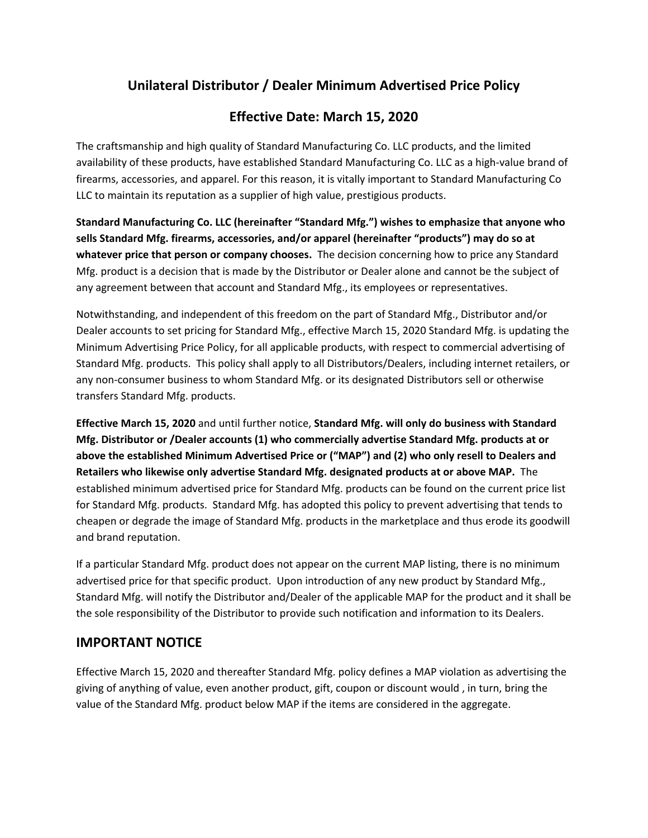# **Unilateral Distributor / Dealer Minimum Advertised Price Policy**

## **Effective Date: March 15, 2020**

The craftsmanship and high quality of Standard Manufacturing Co. LLC products, and the limited availability of these products, have established Standard Manufacturing Co. LLC as a high-value brand of firearms, accessories, and apparel. For this reason, it is vitally important to Standard Manufacturing Co LLC to maintain its reputation as a supplier of high value, prestigious products.

**Standard Manufacturing Co. LLC (hereinafter "Standard Mfg.") wishes to emphasize that anyone who sells Standard Mfg. firearms, accessories, and/or apparel (hereinafter "products") may do so at whatever price that person or company chooses.** The decision concerning how to price any Standard Mfg. product is a decision that is made by the Distributor or Dealer alone and cannot be the subject of any agreement between that account and Standard Mfg., its employees or representatives.

Notwithstanding, and independent of this freedom on the part of Standard Mfg., Distributor and/or Dealer accounts to set pricing for Standard Mfg., effective March 15, 2020 Standard Mfg. is updating the Minimum Advertising Price Policy, for all applicable products, with respect to commercial advertising of Standard Mfg. products. This policy shall apply to all Distributors/Dealers, including internet retailers, or any non-consumer business to whom Standard Mfg. or its designated Distributors sell or otherwise transfers Standard Mfg. products.

**Effective March 15, 2020** and until further notice, **Standard Mfg. will only do business with Standard Mfg. Distributor or /Dealer accounts (1) who commercially advertise Standard Mfg. products at or above the established Minimum Advertised Price or ("MAP") and (2) who only resell to Dealers and Retailers who likewise only advertise Standard Mfg. designated products at or above MAP.** The established minimum advertised price for Standard Mfg. products can be found on the current price list for Standard Mfg. products. Standard Mfg. has adopted this policy to prevent advertising that tends to cheapen or degrade the image of Standard Mfg. products in the marketplace and thus erode its goodwill and brand reputation.

If a particular Standard Mfg. product does not appear on the current MAP listing, there is no minimum advertised price for that specific product. Upon introduction of any new product by Standard Mfg., Standard Mfg. will notify the Distributor and/Dealer of the applicable MAP for the product and it shall be the sole responsibility of the Distributor to provide such notification and information to its Dealers.

### **IMPORTANT NOTICE**

Effective March 15, 2020 and thereafter Standard Mfg. policy defines a MAP violation as advertising the giving of anything of value, even another product, gift, coupon or discount would , in turn, bring the value of the Standard Mfg. product below MAP if the items are considered in the aggregate.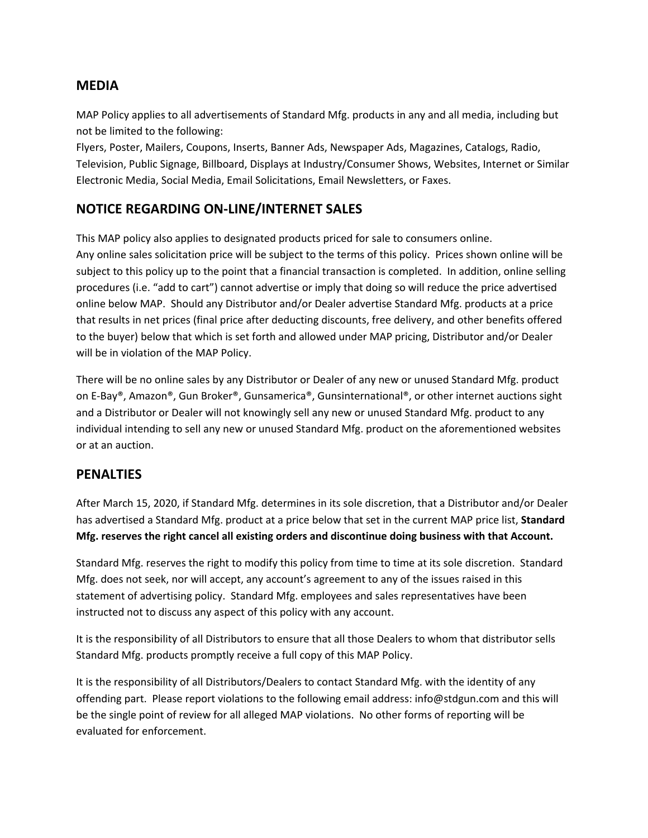#### **MEDIA**

MAP Policy applies to all advertisements of Standard Mfg. products in any and all media, including but not be limited to the following:

Flyers, Poster, Mailers, Coupons, Inserts, Banner Ads, Newspaper Ads, Magazines, Catalogs, Radio, Television, Public Signage, Billboard, Displays at Industry/Consumer Shows, Websites, Internet or Similar Electronic Media, Social Media, Email Solicitations, Email Newsletters, or Faxes.

## **NOTICE REGARDING ON-LINE/INTERNET SALES**

This MAP policy also applies to designated products priced for sale to consumers online.

Any online sales solicitation price will be subject to the terms of this policy. Prices shown online will be subject to this policy up to the point that a financial transaction is completed. In addition, online selling procedures (i.e. "add to cart") cannot advertise or imply that doing so will reduce the price advertised online below MAP. Should any Distributor and/or Dealer advertise Standard Mfg. products at a price that results in net prices (final price after deducting discounts, free delivery, and other benefits offered to the buyer) below that which is set forth and allowed under MAP pricing, Distributor and/or Dealer will be in violation of the MAP Policy.

There will be no online sales by any Distributor or Dealer of any new or unused Standard Mfg. product on E-Bay®, Amazon®, Gun Broker®, Gunsamerica®, Gunsinternational®, or other internet auctions sight and a Distributor or Dealer will not knowingly sell any new or unused Standard Mfg. product to any individual intending to sell any new or unused Standard Mfg. product on the aforementioned websites or at an auction.

### **PENALTIES**

After March 15, 2020, if Standard Mfg. determines in its sole discretion, that a Distributor and/or Dealer has advertised a Standard Mfg. product at a price below that set in the current MAP price list, **Standard Mfg. reserves the right cancel all existing orders and discontinue doing business with that Account.**

Standard Mfg. reserves the right to modify this policy from time to time at its sole discretion. Standard Mfg. does not seek, nor will accept, any account's agreement to any of the issues raised in this statement of advertising policy. Standard Mfg. employees and sales representatives have been instructed not to discuss any aspect of this policy with any account.

It is the responsibility of all Distributors to ensure that all those Dealers to whom that distributor sells Standard Mfg. products promptly receive a full copy of this MAP Policy.

It is the responsibility of all Distributors/Dealers to contact Standard Mfg. with the identity of any offending part. Please report violations to the following email address: info@stdgun.com and this will be the single point of review for all alleged MAP violations. No other forms of reporting will be evaluated for enforcement.